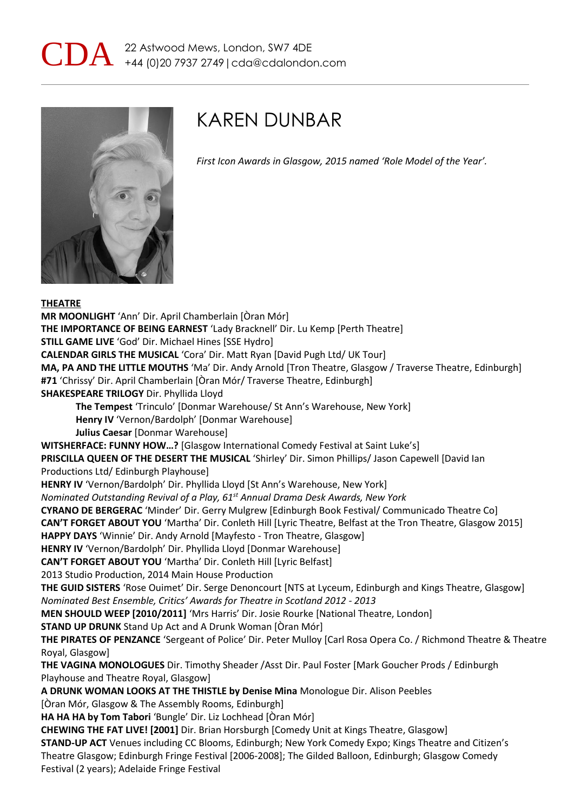



# KAREN DUNBAR

*First Icon Awards in Glasgow, 2015 named 'Role Model of the Year'.*

#### **THEATRE**

**MR MOONLIGHT** 'Ann' Dir. April Chamberlain [Òran Mór] **THE IMPORTANCE OF BEING EARNEST** 'Lady Bracknell' Dir. Lu Kemp [Perth Theatre] **STILL GAME LIVE** 'God' Dir. Michael Hines [SSE Hydro] **CALENDAR GIRLS THE MUSICAL** 'Cora' Dir. Matt Ryan [David Pugh Ltd/ UK Tour] **MA, PA AND THE LITTLE MOUTHS** 'Ma' Dir. Andy Arnold [Tron Theatre, Glasgow / Traverse Theatre, Edinburgh] **#71** 'Chrissy' Dir. April Chamberlain [Òran Mór/ Traverse Theatre, Edinburgh] **SHAKESPEARE TRILOGY** Dir. Phyllida Lloyd **The Tempest** 'Trinculo' [Donmar Warehouse/ St Ann's Warehouse, New York] **Henry IV** 'Vernon/Bardolph' [Donmar Warehouse] **Julius Caesar** [Donmar Warehouse] **WITSHERFACE: FUNNY HOW…?** [Glasgow International Comedy Festival at Saint Luke's] **PRISCILLA QUEEN OF THE DESERT THE MUSICAL** 'Shirley' Dir. Simon Phillips/ Jason Capewell [David Ian Productions Ltd/ Edinburgh Playhouse] **HENRY IV** 'Vernon/Bardolph' Dir. Phyllida Lloyd [St Ann's Warehouse, New York] *Nominated Outstanding Revival of a Play, 61st Annual Drama Desk Awards, New York* **CYRANO DE BERGERAC** 'Minder' Dir. Gerry Mulgrew [Edinburgh Book Festival/ Communicado Theatre Co] **CAN'T FORGET ABOUT YOU** 'Martha' Dir. Conleth Hill [Lyric Theatre, Belfast at the Tron Theatre, Glasgow 2015] **HAPPY DAYS** 'Winnie' Dir. Andy Arnold [Mayfesto - Tron Theatre, Glasgow] **HENRY IV** 'Vernon/Bardolph' Dir. Phyllida Lloyd [Donmar Warehouse] **CAN'T FORGET ABOUT YOU** 'Martha' Dir. Conleth Hill [Lyric Belfast] 2013 Studio Production, 2014 Main House Production **THE GUID SISTERS** 'Rose Ouimet' Dir. Serge Denoncourt [NTS at Lyceum, Edinburgh and Kings Theatre, Glasgow] *Nominated Best Ensemble, Critics' Awards for Theatre in Scotland 2012 - 2013* **MEN SHOULD WEEP [2010/2011]** 'Mrs Harris' Dir. Josie Rourke [National Theatre, London] **STAND UP DRUNK** Stand Up Act and A Drunk Woman [Òran Mór] **THE PIRATES OF PENZANCE** 'Sergeant of Police' Dir. Peter Mulloy [Carl Rosa Opera Co. / Richmond Theatre & Theatre Royal, Glasgow] **THE VAGINA MONOLOGUES** Dir. Timothy Sheader /Asst Dir. Paul Foster [Mark Goucher Prods / Edinburgh Playhouse and Theatre Royal, Glasgow] **A DRUNK WOMAN LOOKS AT THE THISTLE by Denise Mina** Monologue Dir. Alison Peebles [Òran Mór, Glasgow & The Assembly Rooms, Edinburgh] **HA HA HA by Tom Tabori** 'Bungle' Dir. Liz Lochhead [Òran Mór] **CHEWING THE FAT LIVE! [2001]** Dir. Brian Horsburgh [Comedy Unit at Kings Theatre, Glasgow] **STAND-UP ACT** Venues including CC Blooms, Edinburgh; New York Comedy Expo; Kings Theatre and Citizen's Theatre Glasgow; Edinburgh Fringe Festival [2006-2008]; The Gilded Balloon, Edinburgh; Glasgow Comedy Festival (2 years); Adelaide Fringe Festival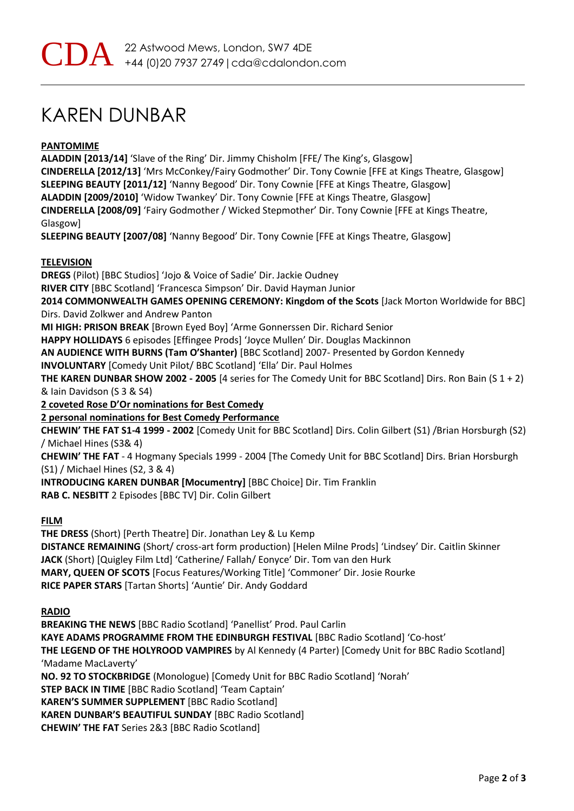## KAREN DUNBAR

### **PANTOMIME**

**ALADDIN [2013/14]** 'Slave of the Ring' Dir. Jimmy Chisholm [FFE/ The King's, Glasgow] **CINDERELLA [2012/13]** 'Mrs McConkey/Fairy Godmother' Dir. Tony Cownie [FFE at Kings Theatre, Glasgow] **SLEEPING BEAUTY [2011/12]** 'Nanny Begood' Dir. Tony Cownie [FFE at Kings Theatre, Glasgow] **ALADDIN [2009/2010]** 'Widow Twankey' Dir. Tony Cownie [FFE at Kings Theatre, Glasgow] **CINDERELLA [2008/09]** 'Fairy Godmother / Wicked Stepmother' Dir. Tony Cownie [FFE at Kings Theatre, Glasgow]

**SLEEPING BEAUTY [2007/08]** 'Nanny Begood' Dir. Tony Cownie [FFE at Kings Theatre, Glasgow]

#### **TELEVISION**

**DREGS** (Pilot) [BBC Studios] 'Jojo & Voice of Sadie' Dir. Jackie Oudney

**RIVER CITY** [BBC Scotland] 'Francesca Simpson' Dir. David Hayman Junior

**2014 COMMONWEALTH GAMES OPENING CEREMONY: Kingdom of the Scots** [Jack Morton Worldwide for BBC] Dirs. David Zolkwer and Andrew Panton

**MI HIGH: PRISON BREAK** [Brown Eyed Boy] 'Arme Gonnerssen Dir. Richard Senior

**HAPPY HOLLIDAYS** 6 episodes [Effingee Prods] 'Joyce Mullen' Dir. Douglas Mackinnon

**AN AUDIENCE WITH BURNS (Tam O'Shanter)** [BBC Scotland] 2007- Presented by Gordon Kennedy

**INVOLUNTARY** [Comedy Unit Pilot/ BBC Scotland] 'Ella' Dir. Paul Holmes

**THE KAREN DUNBAR SHOW 2002 - 2005** [4 series for The Comedy Unit for BBC Scotland] Dirs. Ron Bain (S 1 + 2) & Iain Davidson (S 3 & S4)

**2 coveted Rose D'Or nominations for Best Comedy**

**2 personal nominations for Best Comedy Performance**

**CHEWIN' THE FAT S1-4 1999 - 2002** [Comedy Unit for BBC Scotland] Dirs. Colin Gilbert (S1) /Brian Horsburgh (S2) / Michael Hines (S3& 4)

**CHEWIN' THE FAT** - 4 Hogmany Specials 1999 - 2004 [The Comedy Unit for BBC Scotland] Dirs. Brian Horsburgh (S1) / Michael Hines (S2, 3 & 4)

**INTRODUCING KAREN DUNBAR [Mocumentry]** [BBC Choice] Dir. Tim Franklin

**RAB C. NESBITT** 2 Episodes [BBC TV] Dir. Colin Gilbert

#### **FILM**

**THE DRESS** (Short) [Perth Theatre] Dir. Jonathan Ley & Lu Kemp **DISTANCE REMAINING** (Short/ cross-art form production) [Helen Milne Prods] 'Lindsey' Dir. Caitlin Skinner **JACK** (Short) [Quigley Film Ltd] 'Catherine/ Fallah/ Eonyce' Dir. Tom van den Hurk **MARY, QUEEN OF SCOTS** [Focus Features/Working Title] 'Commoner' Dir. Josie Rourke **RICE PAPER STARS** [Tartan Shorts] 'Auntie' Dir. Andy Goddard

#### **RADIO**

**BREAKING THE NEWS** [BBC Radio Scotland] 'Panellist' Prod. Paul Carlin **KAYE ADAMS PROGRAMME FROM THE EDINBURGH FESTIVAL** [BBC Radio Scotland] 'Co-host' **THE LEGEND OF THE HOLYROOD VAMPIRES** by Al Kennedy (4 Parter) [Comedy Unit for BBC Radio Scotland] 'Madame MacLaverty' **NO. 92 TO STOCKBRIDGE** (Monologue) [Comedy Unit for BBC Radio Scotland] 'Norah' **STEP BACK IN TIME** [BBC Radio Scotland] 'Team Captain' **KAREN'S SUMMER SUPPLEMENT** [BBC Radio Scotland] **KAREN DUNBAR'S BEAUTIFUL SUNDAY** [BBC Radio Scotland] **CHEWIN' THE FAT** Series 2&3 [BBC Radio Scotland]